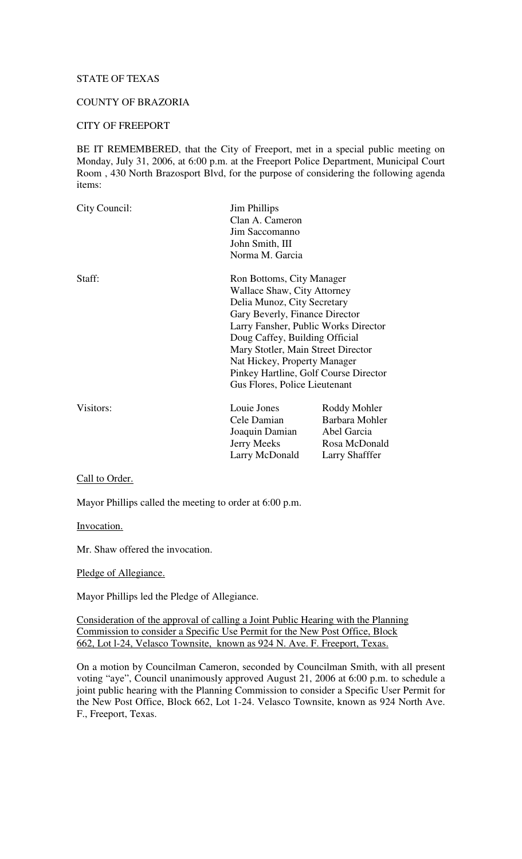# STATE OF TEXAS

### COUNTY OF BRAZORIA

#### CITY OF FREEPORT

BE IT REMEMBERED, that the City of Freeport, met in a special public meeting on Monday, July 31, 2006, at 6:00 p.m. at the Freeport Police Department, Municipal Court Room , 430 North Brazosport Blvd, for the purpose of considering the following agenda items:

| City Council:                | <b>Jim Phillips</b>                                                    |                |  |
|------------------------------|------------------------------------------------------------------------|----------------|--|
|                              | Clan A. Cameron                                                        |                |  |
|                              | Jim Saccomanno                                                         |                |  |
|                              | John Smith, III                                                        |                |  |
|                              | Norma M. Garcia                                                        |                |  |
| Staff:                       | Ron Bottoms, City Manager                                              |                |  |
|                              | Wallace Shaw, City Attorney                                            |                |  |
|                              | Delia Munoz, City Secretary                                            |                |  |
|                              | Gary Beverly, Finance Director                                         |                |  |
|                              | Larry Fansher, Public Works Director                                   |                |  |
|                              | Doug Caffey, Building Official                                         |                |  |
|                              | Mary Stotler, Main Street Director                                     |                |  |
| Nat Hickey, Property Manager |                                                                        |                |  |
|                              | Pinkey Hartline, Golf Course Director<br>Gus Flores, Police Lieutenant |                |  |
|                              |                                                                        |                |  |
| Visitors:                    | Louie Jones                                                            | Roddy Mohler   |  |
|                              | Cele Damian                                                            | Barbara Mohler |  |
|                              | Joaquin Damian                                                         | Abel Garcia    |  |
|                              | <b>Jerry Meeks</b>                                                     | Rosa McDonald  |  |
|                              | Larry McDonald                                                         | Larry Shafffer |  |

#### Call to Order.

Mayor Phillips called the meeting to order at 6:00 p.m.

#### Invocation.

Mr. Shaw offered the invocation.

#### Pledge of Allegiance.

Mayor Phillips led the Pledge of Allegiance.

Consideration of the approval of calling a Joint Public Hearing with the Planning Commission to consider a Specific Use Permit for the New Post Office, Block 662, Lot l-24, Velasco Townsite, known as 924 N. Ave. F. Freeport, Texas.

On a motion by Councilman Cameron, seconded by Councilman Smith, with all present voting "aye", Council unanimously approved August 21, 2006 at 6:00 p.m. to schedule a joint public hearing with the Planning Commission to consider a Specific User Permit for the New Post Office, Block 662, Lot 1-24. Velasco Townsite, known as 924 North Ave. F., Freeport, Texas.